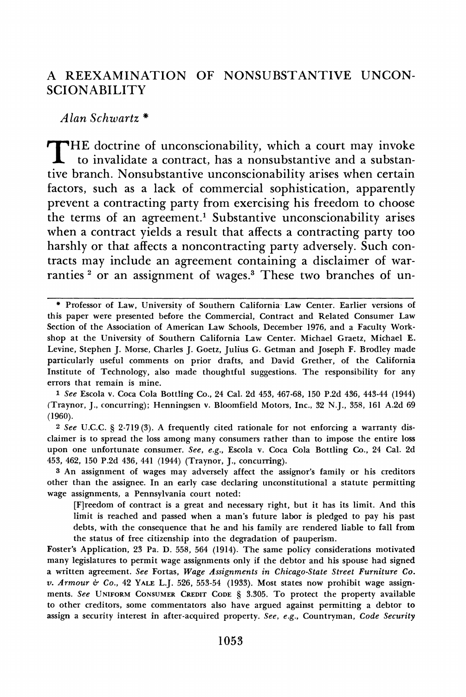# A REEXAMINATION OF NONSUBSTANTIVE UNCON-SCIONABILITY

### *Alan Schwartz* \*

THE doctrine of unconscionability, which a court may invoke to invalidate a contract, has a nonsubstantive and a substantive branch. Nonsubstantive unconscionability arises when certain factors, such as a lack of commercial sophistication, apparently prevent a contracting party from exercising his freedom to choose the terms of an agreement.<sup>1</sup> Substantive unconscionability arises when a contract yields a result that affects a contracting party too harshly or that affects a noncontracting party adversely. Such contracts may include an agreement containing a disclaimer of warranties<sup>2</sup> or an assignment of wages.<sup>3</sup> These two branches of un-

1 *See* Escola v. Coca Cola Bottling Co., 24 Cal. 2d 453, 467-68, 150 P.2d 436, 443-44 (1944) (Traynor, J., concurring); Henningsen v. Bloomfield Motors, Inc., 32 N.J., 358, 161 A.2d 69 (1960).

*2 See* U.C.C. § 2-719 (3). A frequently cited rationale for not enforcing a warranty disclaimer is to spread the loss among many consumers rather than to impose the entire loss upon one unfortunate consumer. *See, e.g.,* Escola v. Coca Cola Bottling Co., 24 Cal. 2d 453, 462, 150 P.2d 436, 441 (1944) (Traynor, J., concurring).

3 An assignment of wages may adversely affect the assignor's family or his creditors other than the assignee. In an early case declaring unconstitutional a statute permitting wage assignments, a Pennsylvania court noted:

[F]reedom of contract is a great and necessary right, but it has its limit. And this limit is reached and passed when a man's future labor is pledged to pay his past debts, with the consequence that he and his family are rendered liable to fall from the status of free citizenship into the degradation of pauperism.

Foster's Application, 23 Pa. D. 558, 564 (1914). The same policy considerations motivated many legislatures to permit wage assignments only if the debtor and his spouse had signed a written agreement. *See* Fortas, *Wage Assignments in Chicago-State Street Furniture Co. v. Armour*  $\dot{\sigma}$  *Co.*, 42 YALE L.J. 526, 553-54 (1933). Most states now prohibit wage assignments. *See* UNIFORM CONSUMER CREDIT CODE § 3.305. To protect the property available to other creditors, some commentators also have argued against pennitting a debtor to assign a security interest in after-acquired property. *See, e.g.,* Countryman, *Code Security*

<sup>•</sup> Professor of Law, University of Southern California- Law Center. Earlier versions of this paper were presented before the Commercial, Contract and Related Consumer Law Section of the Association of American Law Schools, December 1976, and a Faculty Workshop at the University of Southern California Law Center. Michael Graetz, Michael E. Levine, Stephen J. Morse, Charles J. Goetz, Julius G. Getman and Joseph F. Brodley made particularly useful comments on prior drafts, and David Grether, of the California Institute of Technology, also made thoughtful suggestions. The responsibility for any errors that remain is mine.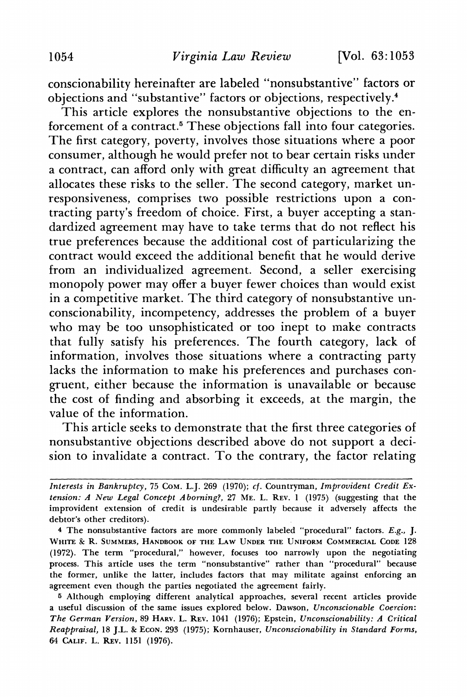conscionability hereinafter are labeled "nonsubstantive" factors or objections and "substantive" factors or objections, respectively.4

This article explores the nonsubstantive objections to the enforcement of a contract.<sup>5</sup> These objections fall into four categories. The first category, poverty, involves those situations where a poor consumer, although he would prefer not to bear certain risks under a contract, can afford only with great difficulty an agreement that allocates these risks to the seller. The second category, market unresponsiveness, comprises two possible restrictions upon a contracting party's freedom of choice. First, a buyer accepting a standardized agreement may have to take terms that do not reflect his true preferences because the additional cost of particularizing the contract would exceed the additional benefit that he would derive from an individualized agreement. Second, a seller exercising monopoly power may offer a buyer fewer choices than would exist in a competitive market. The third category of nonsubstantive unconscionability, incompetency, addresses the problem of a buyer who may be too unsophisticated or too inept to make contracts that fully satisfy his preferences. The fourth category, lack of information, involves those situations where a contracting party lacks the information to make his preferences and purchases congruent, either because the information is unavailable or because the cost of finding and absorbing it exceeds, at the margin, the value of the information.

This article seeks to demonstrate that the first three categories of nonsubstantive objections described above do not support a decision to invalidate a contract. To the contrary, the factor relating

5 Although employing different analytical approaches, several recent articles provide a useful discussion of the same issues explored below. Dawson, *Unconscionable Coercion: The German Version,* 89 HARV. L. REV. 1041 (1976); Epstein, *Unconscionability: A Critical Reappraisal,* 18 J.L. & ECON. 293 (1975); Kornhauser, *Unconscionability in Standard Forms,* 64 CALIF. L. REv. 1151 (1976).

*Interests in Bankruptcy,* 75 COM. L.J. 269 (1970); *ct.* Countryman, *Improvident Credit Extension: A New Legal Concept Aborning?,* 27 ME. L. REV. 1 (1975) (suggesting that the improvident extension of credit is undesirable partly because it adversely affects the debtor's other creditors).

<sup>4</sup> The nonsubstantive factors are more commonly labeled "procedural" factors. E.g., J. WHITE & R. SUMMERS, HANDBOOK OF THE LAW UNDER THE UNIFORM COMMERCIAL CODE 128 (1972). The term "procedural," however, focuses too narrowly upon the negotiating process. This article uses the term "nonsubstantive" rather than "procedural" because the former, unlike the latter, includes factors that may militate against enforcing an agreement even though the parties negotiated the agreement fairly.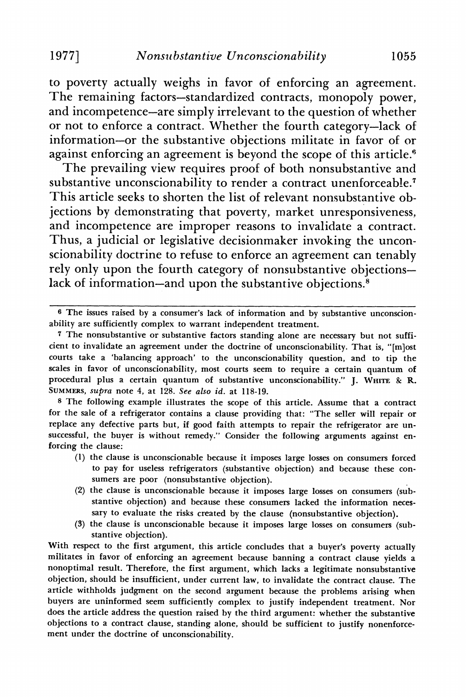**to poverty actually weighs in favor of enforcing an agreement. The remaining factors-standardized contracts, monopoly power, and incompetence-are simply irrelevant to the question of whether or not to enforce a contract. Whether the fourth category-lack of information-or the substantive objections militate in favor of or against enforcing an agreement is beyond the scope of this article.** 

**The prevailing view requires proof of both nonsubstantive and substantive unconscionability to render a contract unenforceable.7 This article seeks to shorten the list of relevant nonsubstantive objections by demonstrating that poverty, market unresponsiveness, and incompetence are improper reasons to invalidate a contract. Thus, a judicial or legislative decisionmaker invoking the unconscionability doctrine to refuse to enforce an agreement can tenably rely only upon the fourth category of nonsubstantive objectionslack of information-and upon the substantive objections.8** 

**8 The following example illustrates the scope of this article. Assume that a contract for the sale of a refrigerator contains a clause providing that: "The seller will repair or replace any defective parts but, if good faith attempts to repair the refrigerator are unsuccessful, the buyer is without remedy." Consider the following arguments against enforcing the clause:** 

- **(1) the clause is unconscionable because it imposes large losses on consumers forced to pay for useless refrigerators (substantive objection) and because these consumers are poor (nonsubstantive objection).**
- **(2) the clause is unconscionable because it imposes large losses on consumers (substantive objection) and because these consumers lacked the information necessary to evaluate the risks created by the clause (nonsubstantive objection).**
- **(3) the clause is unconscionable because it imposes large losses on consumers (substantive objection).**

**With respect to the first argument, this article concludes that a buyer's poverty actually militates in favor of enforcing an agreement because banning a contract clause yields a nonoptimal result. Therefore, the first argument, which lacks a legitimate nonsubstantive objection, should be insufficient, under current law, to invalidate the contract clause. The article withholds judgment on the second argument because the problems arising when buyers are uninformed seem sufficiently complex to justify independent treatment. Nor does the article address the question raised by the third argument: whether the substantive objections to a contract clause, standing alone, should be sufficient to justify nonenforcement under the doctrine of unconscionability.** 

**<sup>6</sup> The issues raised by a consumer's lack of information and by substantive unconscionability are sufficiently complex to warrant independent treatment.** 

**<sup>7</sup> The nonsubstantive or substantive factors standing alone are necessary but not sufficient to invalidate an agreement under the doctrine of unconscionability. That is, "[m]ost courts take a 'balancing approach' to the unconscionability question, and to tip the scales in favor of unconscionability, most courts seem to require a certain quantum of procedural plus a certain quantum of substantive unconscionability." J. WHITE & R. SUMMERS, supra note 4, at 128. See also id. at 118-19.**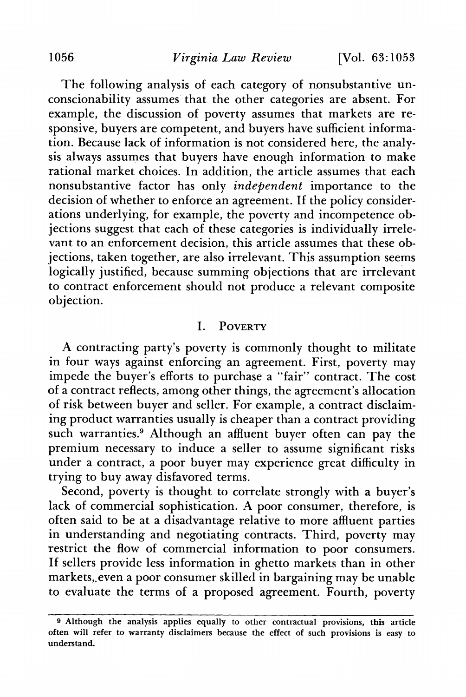**The following analysis of each category of nonsubstantive unconscionability assumes that the other categories are absent. For example, the discussion of poverty assumes that markets are responsive, buyers are competent, and buyers have sufficient information. Because lack of information is not considered here, the analysis always assumes that buyers have enough information to make rational market choices. In addition, the article assumes that each nonsubstantive factor has only independent importance to the decision of whether to enforce an agreement. If the policy considerations underlying, for example, the poverty and incompetence objections suggest that each of these categories is individually irrelevant to an enforcement decision, this article assumes that these objections, taken together, are also irrelevant. This assumption seems logically justified, because summing objections that are irrelevant to contract enforcement should not produce a relevant composite objection.** 

### **I. POVERTY**

**A contracting party's poverty is commonly thought to militate in four ways against enforcing an agreement. First, poverty may impede the buyer's efforts to purchase a "fair" contract. The cost of a contract reflects, among other things, the agreement's allocation of risk between buyer and seller. For example, a contract disclaiming product warranties usually is cheaper than a contract providing such warranties.9 Although an affluent buyer often can pay the premium necessary to induce a seller to assume significant risks under a contract, a poor buyer may experience great difficulty in trying to buy away disfavored terms.** 

**Second, poverty is thought to correlate strongly with a buyer's lack of commercial sophistication. A poor consumer, therefore, is often said to be at a disadvantage relative to more affluent parties in understanding and negotiating contracts. Third, poverty may restrict the flow of commercial information to poor consumers. If sellers provide less information in ghetto markets than in other**  markets, even a poor consumer skilled in bargaining may be unable **to evaluate the terms of a proposed agreement. Fourth, poverty** 

**<sup>9</sup> Although the analysis applies equally to other contractual provisions, this article often will refer to warranty disclaimers because the effect of such provisions is easy to understand.**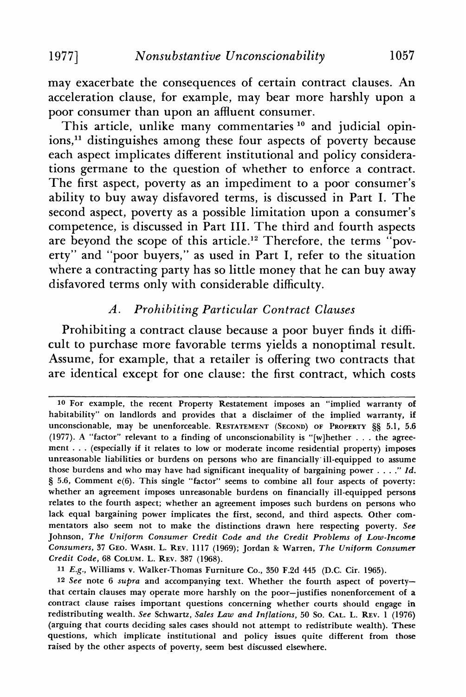**may exacerbate the consequences of certain contract clauses. An acceleration clause, for example, may bear more harshly upon a poor consumer than upon an affluent consumer.** 

**This article, unlike many commentaries 10 and judicial opin**ions,<sup>11</sup> distinguishes among these four aspects of poverty because **each aspect implicates different institutional and policy considerations germane to the question of whether to enforce a contract. The first aspect, poverty as an impediment to a poor consumer's ability to buy away disfavored terms, is discussed in Part I. The second aspect, poverty as a possible limitation upon a consumer's competence, is discussed in Part III. The third and fourth aspects**  are beyond the scope of this article.<sup>12</sup> Therefore, the terms "pov**erty" and "poor buyers," as used in Part I, refer to the situation where a contracting party has so little money that he can buy away disfavored terms only with considerable difficulty.** 

# **A. Prohibiting Particular Contract Clauses**

**Prohibiting a contract clause because a poor buyer finds it difficult to purchase more favorable terms yields a nonoptimal result. Assume, for example, that a retailer is offering two contracts that are identical except for one clause: the first contract, which costs** 

**<sup>10</sup> For example, the recent Property Restatement imposes an "implied warranty of habitability" on landlords and provides that a disclaimer of the implied warranty, if unconscionable, may be unenforceable. RESTATEMENT (SECOND) OF PROPERTY ?? 5.1, 5.6 (1977). A "factor" relevant to a finding of unconscionability is "[w]hether . . . the agreement . . . (especially if it relates to low or moderate income residential property) imposes unreasonable liabilities or burdens on persons who are financially ill-equipped to assume those burdens and who may have had significant inequality of bargaining power ...." Id. ? 5.6, Comment e(6). This single "factor" seems to combine all four aspects of poverty: whether an agreement imposes unreasonable burdens on financially ill-equipped persons relates to the fourth aspect; whether an agreement imposes such burdens on persons who lack equal bargaining power implicates the first, second, and third aspects. Other commentators also seem not to make the distinctions drawn here respecting poverty. See Johnson, The Uniform Consumer Credit Code and the Credit Problems of Low-Income Consumers, 37 GEO. WASH. L. REV. 1117 (1969); Jordan & Warren, The Uniform Consumer Credit Code, 68 COLUM. L. REV. 387 (1968).** 

**<sup>11</sup> E.g., Williams v. Walker-Thomas Furniture Co., 350 F.2d 445 (D.C. Cir. 1965).** 

**<sup>12</sup> See note 6 supra and accompanying text. Whether the fourth aspect of povertythat certain clauses may operate more harshly on the poor-justifies nonenforcement of a contract clause raises important questions concerning whether courts should engage in redistributing wealth. See Schwartz, Sales Law and Inflations, 50 So. CAL. L. REV. 1 (1976) (arguing that courts deciding sales cases should not attempt to redistribute wealth). These questions, which implicate institutional and policy issues quite different from those raised by the other aspects of poverty, seem best discussed elsewhere.**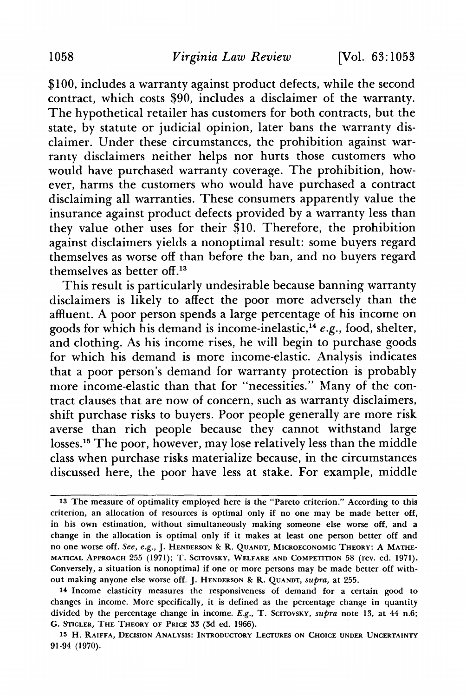**\$100, includes a warranty against product defects, while the second contract, which costs \$90, includes a disclaimer of the warranty. The hypothetical retailer has customers for both contracts, but the state, by statute or judicial opinion, later bans the warranty disclaimer. Under these circumstances, the prohibition against warranty disclaimers neither helps nor hurts those customers who would have purchased warranty coverage. The prohibition, however, harms the customers who would have purchased a contract disclaiming all warranties. These consumers apparently value the insurance against product defects provided by a warranty less than they value other uses for their \$10. Therefore, the prohibition against disclaimers yields a nonoptimal result: some buyers regard themselves as worse off than before the ban, and no buyers regard themselves as better off.13** 

**This result is particularly undesirable because banning warranty disclaimers is likely to affect the poor more adversely than the affluent. A poor person spends a large percentage of his income on**  goods for which his demand is income-inelastic,<sup>14</sup> e.g., food, shelter, **and clothing. As his income rises, he will begin to purchase goods for which his demand is more income-elastic. Analysis indicates that a poor person's demand for warranty protection is probably more income-elastic than that for "necessities." Many of the contract clauses that are now of concern, such as warranty disclaimers, shift purchase risks to buyers. Poor people generally are more risk averse than rich people because they cannot withstand large losses.15 The poor, however, may lose relatively less than the middle class when purchase risks materialize because, in the circumstances discussed here, the poor have less at stake. For example, middle** 

**<sup>13</sup> The measure of optimality employed here is the "Pareto criterion." According to this criterion, an allocation of resources is optimal only if no one may be made better off, in his own estimation, without simultaneously making someone else worse off, and a change in the allocation is optimal only if it makes at least one person better off and no one worse off. See, e.g., J. HENDERSON & R. QUANDT, MICROECONOMIC THEORY: A MATHE-MATICAL APPROACH 255 (1971); T. SCITOVSKY, WELFARE AND COMPETITION 58 (rev. ed. 1971). Conversely, a situation is nonoptimal if one or more persons may be made better off without making anyone else worse off. J. HENDERSON & R. QUANDT, supra, at 255.** 

**<sup>14</sup> Income elasticity measures the responsiveness of demand for a certain good to changes in income. More specifically, it is defined as the percentage change in quantity divided by the percentage change in income. E.g., T. SCITOVSKY, supra note 13, at 44 n.6; G. STIGLER, THE THEORY OF PRICE 33 (3d ed. 1966).** 

**<sup>15</sup> H. RAIFFA, DECISION ANALYSIS: INTRODUCTORY LECTURES ON CHOICE UNDER UNCERTAINTY 91-94 (1970).**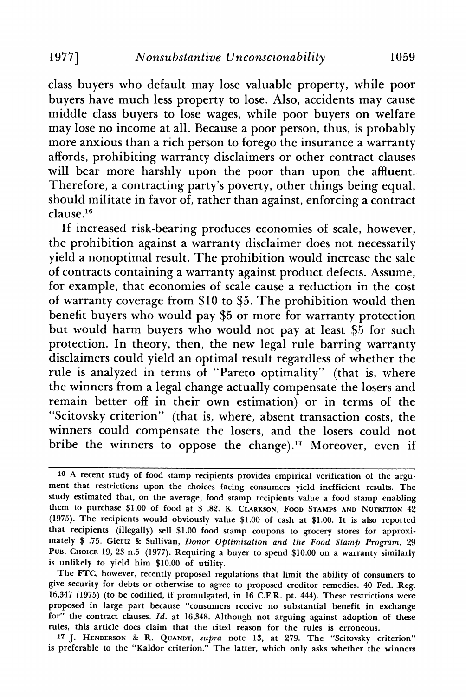**class buyers who default may lose valuable property, while poor buyers have much less property to lose. Also, accidents may cause middle class buyers to lose wages, while poor buyers on welfare may lose no income at all. Because a poor person, thus, is probably more anxious than a rich person to forego the insurance a warranty affords, prohibiting warranty disclaimers or other contract clauses**  will bear more harshly upon the poor than upon the affluent. **Therefore, a contracting party's poverty, other things being equal, should militate in favor of, rather than against, enforcing a contract clause.16** 

**If increased risk-bearing produces economies of scale, however, the prohibition against a warranty disclaimer does not necessarily yield a nonoptimal result. The prohibition would increase the sale of contracts containing a warranty against product defects. Assume, for example, that economies of scale cause a reduction in the cost of warranty coverage from \$10 to \$5. The prohibition would then benefit buyers who would pay \$5 or more for warranty protection but would harm buyers who would not pay at least \$5 for such protection. In theory, then, the new legal rule barring warranty disclaimers could yield an optimal result regardless of whether the rule is analyzed in terms of "Pareto optimality" (that is, where the winners from a legal change actually compensate the losers and remain better off in their own estimation) or in terms of the "Scitovsky criterion" (that is, where, absent transaction costs, the winners could compensate the losers, and the losers could not**  bribe the winners to oppose the change).<sup>17</sup> Moreover, even if

**17 J. HENDERSON & R. QUANDT, supra note 13, at 279. The "Scitovsky criterion" is preferable to the "Kaldor criterion." The latter, which only asks whether the winners** 

**<sup>16</sup> A recent study of food stamp recipients provides empirical verification of the argument that restrictions upon the choices facing consumers yield inefficient results. The study estimated that, on the average, food stamp recipients value a food stamp enabling them to purchase \$1.00 of food at \$ .82. K. CLARKSON, FOOD STAMPS AND NUTRITION 42 (1975). The recipients would obviously value \$1.00 of cash at \$1.00. It is also reported that recipients (illegally) sell \$1.00 food stamp coupons to grocery stores for approximately \$ .75. Giertz & Sullivan, Donor Optimization and the Food Stamp Program, 29 PUB. CHOICE 19, 23 n.5 (1977). Requiring a buyer to spend \$10.00 on a warranty similarly is unlikely to yield him \$10.00 of utility.** 

**The FTC, however, recently proposed regulations that limit the ability of consumers to give security for debts or otherwise to agree to proposed creditor remedies. 40 Fed..Reg. 16,347 (1975) (to be codified, if promulgated, in 16 C.F.R. pt. 444). These restrictions were proposed in large part because "consumers receive no substantial benefit in exchange for" the contract clauses. Id. at 16,348. Although not arguing against adoption of these rules, this article does claim that the cited reason for the rules is erroneous.**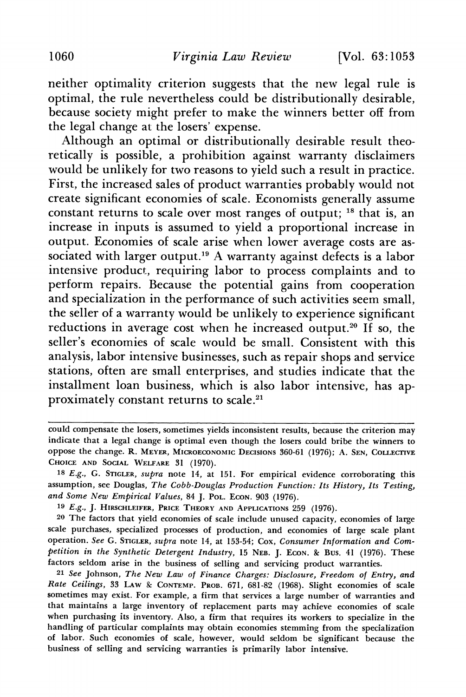**neither optimality criterion suggests that the new legal rule is optimal, the rule nevertheless could be distributionally desirable, because society might prefer to make the winners better off from the legal change at the losers' expense.** 

**Although an optimal or distributionally desirable result theoretically is possible, a prohibition against warranty disclaimers would be unlikely for two reasons to yield such a result in practice. First, the increased sales of product warranties probably would not create significant economies of scale. Economists generally assume constant returns to scale over most ranges of output; 18 that is, an increase in inputs is assumed to yield a proportional increase in output. Economies of scale arise when lower average costs are associated with larger output.'9 A warranty against defects is a labor intensive product, requiring labor to process complaints and to perform repairs. Because the potential gains from cooperation and specialization in the performance of such activities seem small, the seller of a warranty would be unlikely to experience significant reductions in average cost when he increased output.20 If so, the seller's economies of scale would be small. Consistent with this analysis, labor intensive businesses, such as repair shops and service stations, often are small enterprises, and studies indicate that the installment loan business, which is also labor intensive, has approximately constant returns to scale.21** 

**19 E.g., J. HIRSCHLEIFER, PRICE THEORY AND APPLICATIONS 259 (1976).** 

**20 The factors that yield economies of scale include unused capacity, economies of large scale purchases, specialized processes of production, and economies of large scale plant operation. See G. STIGLER, supra note 14, at 153-54; Cox, Consumer Information and Competition in the Synthetic Detergent Industry, 15 NEB. J. ECON. & Bus. 41 (1976). These factors seldom arise in the business of selling and servicing product warranties.** 

**21 See Johnson, The New Law of Finance Charges: Disclosure, Freedom of Entry, and Rate Ceilings, 33 LAW & CONTEMP. PROB. 671, 681-82 (1968). Slight economies of scale sometimes may exist. For example, a firm that services a large number of warranties and that maintains a large inventory of replacement parts may achieve economies of scale when purchasing its inventory. Also, a firm that requires its workers to specialize in the handling of particular complaints may obtain economies stemming from the specialization of labor. Such economies of scale, however, would seldom be significant because the business of selling and servicing warranties is primarily labor intensive.** 

**could compensate the losers, sometimes yields inconsistent results, because the criterion may indicate that a legal change is optimal even though the losers could bribe the winners to oppose the change. R. MEYER, MICROECONOMIC DECISIONS 360-61 (1976); A. SEN, COLLECTIVE CHOICE AND SOCIAL WELFARE 31 (1970).** 

**<sup>18</sup>E.g., G. STIGLER, supra note 14, at 151. For empirical evidence corroborating this assumption, see Douglas, The Cobb-Douglas Production Function: Its History, Its Testing, and Some New Empirical Values, 84 J. POL. ECON. 903 (1976).**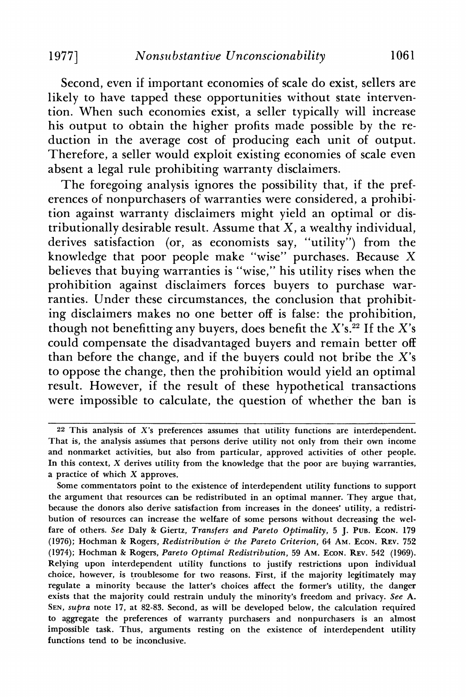**Second, even if important economies of scale do exist, sellers are likely to have tapped these opportunities without state intervention. When such economies exist, a seller typically will increase his output to obtain the higher profits made possible by the reduction in the average cost of producing each unit of output. Therefore, a seller would exploit existing economies of scale even absent a legal rule prohibiting warranty disclaimers.** 

**The foregoing analysis ignores the possibility that, if the preferences of nonpurchasers of warranties were considered, a prohibition against warranty disclaimers might yield an optimal or distributionally desirable result. Assume that X, a wealthy individual, derives satisfaction (or, as economists say, "utility") from the knowledge that poor people make "wise" purchases. Because X believes that buying warranties is "wise," his utility rises when the prohibition against disclaimers forces buyers to purchase warranties. Under these circumstances, the conclusion that prohibiting disclaimers makes no one better off is false: the prohibition,**  though not benefitting any buyers, does benefit the  $X$ 's.<sup>22</sup> If the  $X$ 's **could compensate the disadvantaged buyers and remain better off than before the change, and if the buyers could not bribe the X's to oppose the change, then the prohibition would yield an optimal result. However, if the result of these hypothetical transactions were impossible to calculate, the question of whether the ban is** 

**<sup>22</sup> This analysis of X's preferences assumes that utility functions are interdependent. That is, the analysis assumes that persons derive utility not only from their own income and nonmarket activities, but also from particular, approved activities of other people. In this context, X derives utility from the knowledge that the poor are buying warranties, a practice of which X approves.** 

**Some commentators point to the existence of interdependent utility functions to support the argument that resources can be redistributed in an optimal manner. They argue that, because the donors also derive satisfaction from increases in the donees' utility, a redistribution of resources can increase the welfare of some persons without decreasing the wel**fare of others. See Daly & Giertz, Transfers and Pareto Optimality, 5 J. PUB. ECON. 179 **(1976); Hochman & Rogers, Redistribution & the Pareto Criterion, 64 AM. ECON. REV. 752 (1974); Hochman & Rogers, Pareto Optimal Redistribution, 59 AM. ECON. REV. 542 (1969). Relying upon interdependent utility functions to justify restrictions upon individual choice, however, is troublesome for two reasons. First, if the majority legitimately may regulate a minority because the latter's choices affect the former's utility, the danger exists that the majority could restrain unduly the minority's freedom and privacy. See A. SEN, supra note 17, at 82-83. Second, as will be developed below, the calculation required to aggregate the preferences of warranty purchasers and nonpurchasers is an almost impossible task. Thus, arguments resting on the existence of interdependent utility functions tend to be inconclusive.**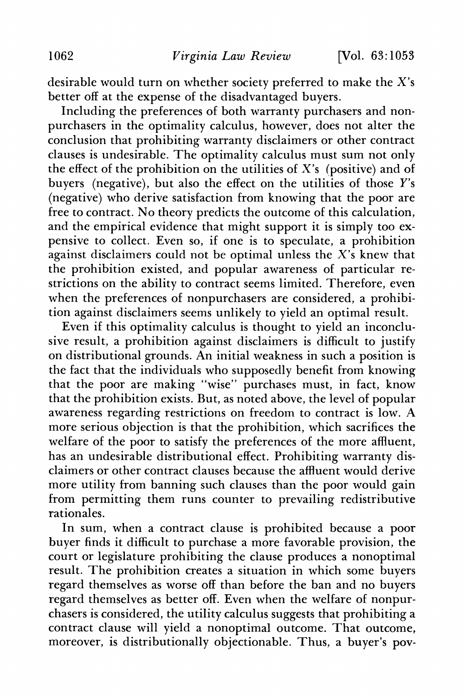**desirable would turn on whether society preferred to make the X's better off at the expense of the disadvantaged buyers.** 

**Including the preferences of both warranty purchasers and nonpurchasers in the optimality calculus, however, does not alter the conclusion that prohibiting warranty disclaimers or other contract clauses is undesirable. The optimality calculus must sum not only the effect of the prohibition on the utilities of X's (positive) and of buyers (negative), but also the effect on the utilities of those Y's (negative) who derive satisfaction from knowing that the poor are free to contract. No theory predicts the outcome of this calculation, and the empirical evidence that might support it is simply too expensive to collect. Even so, if one is to speculate, a prohibition against disclaimers could not be optimal unless the X's knew that the prohibition existed, and popular awareness of particular restrictions on the ability to contract seems limited. Therefore, even when the preferences of nonpurchasers are considered, a prohibition against disclaimers seems unlikely to yield an optimal result.** 

**Even if this optimality calculus is thought to yield an inconclusive result, a prohibition against disclaimers is difficult to justify on distributional grounds. An initial weakness in such a position is the fact that the individuals who supposedly benefit from knowing that the poor are making "wise" purchases must, in fact, know that the prohibition exists. But, as noted above, the level of popular awareness regarding restrictions on freedom to contract is low. A more serious objection is that the prohibition, which sacrifices the welfare of the poor to satisfy the preferences of the more affluent, has an undesirable distributional effect. Prohibiting warranty disclaimers or other contract clauses because the affluent would derive more utility from banning such clauses than the poor would gain from permitting them runs counter to prevailing redistributive rationales.** 

**In sum, when a contract clause is prohibited because a poor buyer finds it difficult to purchase a more favorable provision, the court or legislature prohibiting the clause produces a nonoptimal result. The prohibition creates a situation in which some buyers regard themselves as worse off than before the ban and no buyers regard themselves as better off. Even when the welfare of nonpurchasers is considered, the utility calculus suggests that prohibiting a contract clause will yield a nonoptimal outcome. That outcome, moreover, is distributionally objectionable. Thus, a buyer's pov-**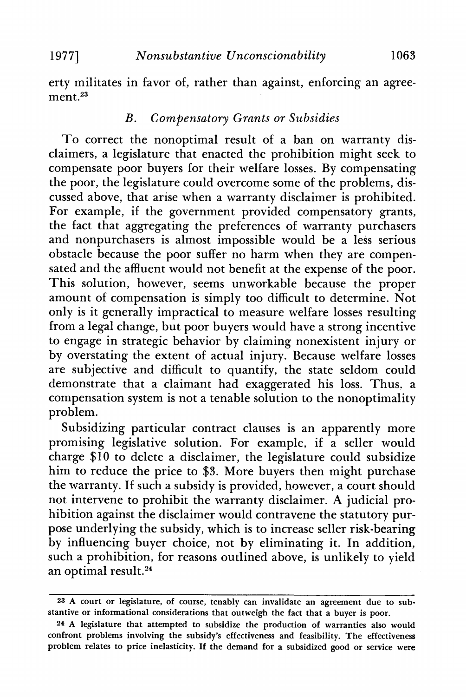**erty militates in favor of, rather than against, enforcing an agreement.23** 

# **B. Compensatory Grants or Subsidies**

**To correct the nonoptimal result of a ban on warranty disclaimers, a legislature that enacted the prohibition might seek to compensate poor buyers for their welfare losses. By compensating the poor, the legislature could overcome some of the problems, discussed above, that arise when a warranty disclaimer is prohibited. For example, if the government provided compensatory grants, the fact that aggregating the preferences of warranty purchasers and nonpurchasers is almost impossible would be a less serious obstacle because the poor suffer no harm when they are compensated and the affluent would not benefit at the expense of the poor. This solution, however, seems unworkable because the proper amount of compensation is simply too difficult to determine. Not only is it generally impractical to measure welfare losses resulting from a legal change, but poor buyers would have a strong incentive to engage in strategic behavior by claiming nonexistent injury or by overstating the extent of actual injury. Because welfare losses are subjective and difficult to quantify, the state seldom could demonstrate that a claimant had exaggerated his loss. Thus. a compensation system is not a tenable solution to the nonoptimality problem.** 

**Subsidizing particular contract clauses is an apparently more promising legislative solution. For example, if a seller would charge \$10 to delete a disclaimer, the legislature could subsidize him to reduce the price to \$3. More buyers then might purchase the warranty. If such a subsidy is provided, however, a court should not intervene to prohibit the warranty disclaimer. A judicial prohibition against the disclaimer would contravene the statutory purpose underlying the subsidy, which is to increase seller risk-bearing by influencing buyer choice, not by eliminating it. In addition, such a prohibition, for reasons outlined above, is unlikely to yield an optimal result.24** 

**<sup>23</sup> A court or legislature, of course, tenably can invalidate an agreement due to substantive or informational considerations that outweigh the fact that a buyer is poor.** 

**<sup>24</sup> A legislature that attempted to subsidize the production of warranties also would confront problems involving the subsidy's effectiveness and feasibility. The effectiveness problem relates to price inelasticity. If the demand for a subsidized good or service were**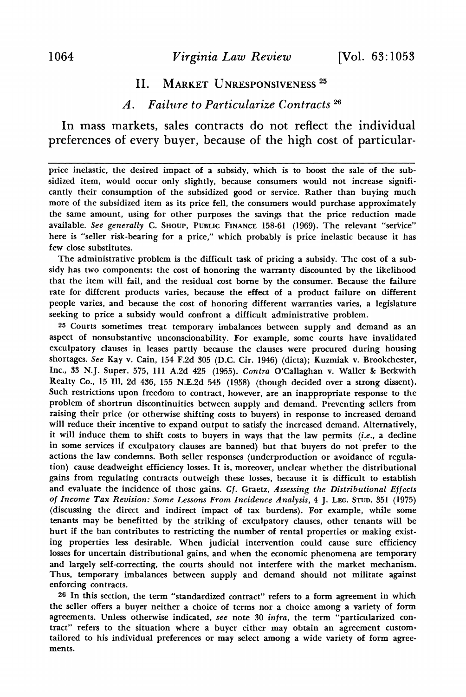### **II. MARKET UNRESPONSIVENESS 25**

#### **A. Failure to Particularize Contracts <sup>2</sup>**

**In mass markets, sales contracts do not reflect the individual preferences of every buyer, because of the high cost of particular-**

**price inelastic, the desired impact of a subsidy, which is to boost the sale of the subsidized item, would occur only slightly, because consumers would not increase significantly their consumption of the subsidized good or service. Rather than buying much more of the subsidized item as its price fell, the consumers would purchase approximately the same amount, using for other purposes the savings that the price reduction made available. See generally C. SHOUP, PUBLIC FINANCE 158-61 (1969). The relevant "service" here is "seller risk-bearing for a price," which probably is price inelastic because it has few close substitutes.** 

**The administrative problem is the difficult task of pricing a subsidy. The cost of a subsidy has two components: the cost of honoring the warranty discounted by the likelihood that the item will fail, and the residual cost borne by the consumer. Because the failure rate for different products varies, because the effect of a product failure on different people varies, and because the cost of honoring different warranties varies, a legislature seeking to price a subsidy would confront a difficult administrative problem.** 

**25 Courts sometimes treat temporary imbalances between supply and demand as an aspect of nonsubstantive unconscionability. For example, some courts have invalidated exculpatory clauses in leases partly because the clauses were procured during housing shortages. See Kay v. Cain, 154 F.2d 305 (D.C. Cir. 1946) (dicta); Kuzmiak v. Brookchester, Inc., 33 N.J. Super. 575, 111 A.2d 425 (1955). Contra O'Callaghan v. Waller & Beckwith Realty Co., 15 Ill. 2d 436, 155 N.E.2d 545 (1958) (though decided over a strong dissent). Such restrictions upon freedom to contract, however, are an inappropriate response to the problem of shortrun discontinuities between supply and demand. Preventing sellers from raising their price (or otherwise shifting costs to buyers) in response to increased demand will reduce their incentive to expand output to satisfy the increased demand. Alternatively, it will induce them to shift costs to buyers in ways that the law permits (i.e., a decline in some services if exculpatory clauses are banned) but that buyers do not prefer to the actions the law condemns. Both seller responses (underproduction or avoidance of regulation) cause deadweight efficiency losses. It is, moreover, unclear whether the distributional gains from regulating contracts outweigh these losses, because it is difficult to establish and evaluate the incidence of those gains. Cf. Graetz, Assessing the Distributional Effects of Income Tax Revision: Some Lessons From Incidence Analysis, 4 J. LEG. STUD. 351 (1975) (discussing the direct and indirect impact of tax burdens). For example, while some tenants may be benefitted by the striking of exculpatory clauses, other tenants will be hurt if the ban contributes to restricting the number of rental properties or making existing properties less desirable. When judicial intervention could cause sure efficiency losses for uncertain distributional gains, and when the economic phenomena are temporary and largely self-correcting, the courts should not interfere with the market mechanism. Thus, temporary imbalances between supply and demand should not militate against enforcing contracts.** 

**26 In this section, the term "standardized contract" refers to a form agreement in which the seller offers a buyer neither a choice of terms nor a choice among a variety of form agreements. Unless otherwise indicated, see note 30 infra, the term "particularized contract" refers to the situation where a buyer either may obtain an agreement customtailored to his individual preferences or may select among a wide variety of form agreements.**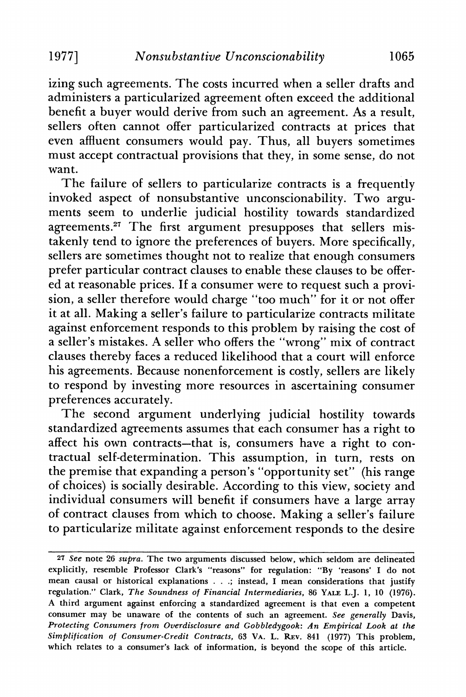**izing such agreements. The costs incurred when a seller drafts and administers a particularized agreement often exceed the additional benefit a buyer would derive from such an agreement. As a result, sellers often cannot offer particularized contracts at prices that even affluent consumers would pay. Thus, all buyers sometimes must accept contractual provisions that they, in some sense, do not want.** 

**The failure of sellers to particularize contracts is a frequently invoked aspect of nonsubstantive unconscionability. Two arguments seem to underlie judicial hostility towards standardized agreements.27 The first argument presupposes that sellers mistakenly tend to ignore the preferences of buyers. More specifically, sellers are sometimes thought not to realize that enough consumers prefer particular contract clauses to enable these clauses to be offered at reasonable prices. If a consumer were to request such a provision, a seller therefore would charge "too much" for it or not offer it at all. Making a seller's failure to particularize contracts militate against enforcement responds to this problem by raising the cost of a seller's mistakes. A seller who offers the "wrong" mix of contract clauses thereby faces a reduced likelihood that a court will enforce his agreements. Because nonenforcement is costly, sellers are likely to respond by investing more resources in ascertaining consumer preferences accurately.** 

**The second argument underlying judicial hostility towards standardized agreements assumes that each consumer has a right to affect his own contracts-that is, consumers have a right to contractual self-determination. This assumption, in turn, rests on the premise that expanding a person's "opportunity set" (his range of choices) is socially desirable. According to this view, society and individual consumers will benefit if consumers have a large array of contract clauses from which to choose. Making a seller's failure to particularize militate against enforcement responds to the desire** 

**<sup>27</sup>See note 26 supra. The two arguments discussed below, which seldom are delineated explicitly, resemble Professor Clark's "reasons" for regulation: "By 'reasons' I do not mean causal or historical explanations . . .; instead, I mean considerations that justify regulation." Clark, The Soundness of Financial Intermediaries, 86 YALE L.J. 1, 10 (1976). A third argument against enforcing a standardized agreement is that even a competent consumer may be unaware of the contents of such an agreement. See generally Davis, Protecting Consumers from Overdisclosure and Gobbledygook: An Empirical Look at the Simplification of Consumer-Credit Contracts, 63 VA. L. REV. 841 (1977) This problem, which relates to a consumer's lack of information, is beyond the scope of this article.**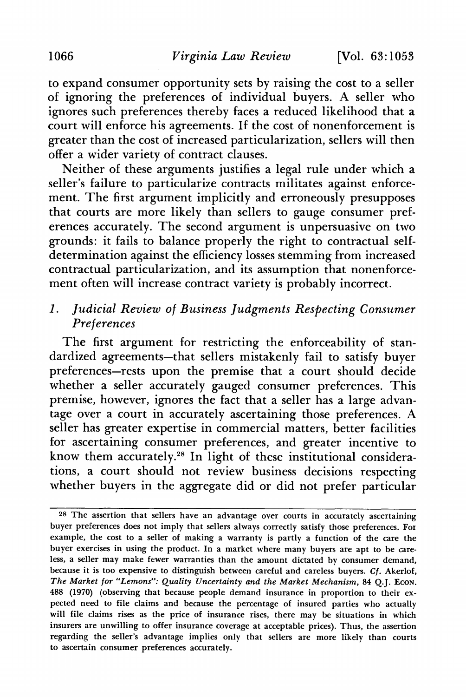**to expand consumer opportunity sets by raising the cost to a seller of ignoring the preferences of individual buyers. A seller who ignores such preferences thereby faces a reduced likelihood that a court will enforce his agreements. If the cost of nonenforcement is greater than the cost of increased particularization, sellers will then offer a wider variety of contract clauses.** 

**Neither of these arguments justifies a legal rule under which a seller's failure to particularize contracts militates against enforcement. The first argument implicitly and erroneously presupposes that courts are more likely than sellers to gauge consumer preferences accurately. The second argument is unpersuasive on two grounds: it fails to balance properly the right to contractual selfdetermination against the efficiency losses stemming from increased contractual particularization, and its assumption that nonenforcement often will increase contract variety is probably incorrect.** 

# **1. Judicial Review of Business Judgments Respecting Consumer Preferences**

**The first argument for restricting the enforceability of standardized agreements-that sellers mistakenly fail to satisfy buyer preferences-rests upon the premise that a court should decide whether a seller accurately gauged consumer preferences. This premise, however, ignores the fact that a seller has a large advantage over a court in accurately ascertaining those preferences. A seller has greater expertise in commercial matters, better facilities for ascertaining consumer preferences, and greater incentive to know them accurately.28 In light of these institutional considerations, a court should not review business decisions respecting whether buyers in the aggregate did or did not prefer particular** 

**<sup>28</sup>The assertion that sellers have an advantage over courts in accurately ascertaining buyer preferences does not imply that sellers always correctly satisfy those preferences. Foi example, the cost to a seller of making a warranty is partly a function of the care the buyer exercises in using the product. In a market where many buyers are apt to be careless, a seller may make fewer warranties than the amount dictated by consumer demand, because it is too expensive to distinguish between careful and careless buyers. Cf. Akerlof, The Market for "Lemons": Quality Uncertainty and the Market Mechanism, 84 Q.J. ECON. 488 (1970) (observing that because people demand insurance in proportion to their expected need to file claims and because the percentage of insured parties who actually will file claims rises as the price of insurance rises, there may be situations in which insurers are unwilling to offer insurance coverage at acceptable prices). Thus, the assertion regarding the seller's advantage implies only that sellers are more likely than courts to ascertain consumer preferences accurately.**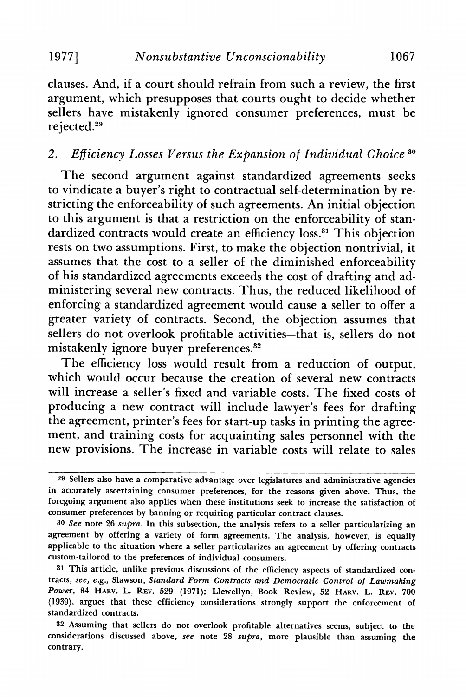**clauses. And, if a court should refrain from such a review, the first argument, which presupposes that courts ought to decide whether sellers have mistakenly ignored consumer preferences, must be rejected.29** 

## **2. Efficiency Losses Versus the Expansion of Individual Choice <sup>30</sup>**

**The second argument against standardized agreements seeks to vindicate a buyer's right to contractual self-determination by restricting the enforceability of such agreements. An initial objection to this argument is that a restriction on the enforceability of standardized contracts would create an efficiency loss.31 This objection rests on two assumptions. First, to make the objection nontrivial, it assumes that the cost to a seller of the diminished enforceability of his standardized agreements exceeds the cost of drafting and administering several new contracts. Thus, the reduced likelihood of enforcing a standardized agreement would cause a seller to offer a greater variety of contracts. Second, the objection assumes that sellers do not overlook profitable activities-that is, sellers do not mistakenly ignore buyer preferences.32** 

**The efficiency loss would result from a reduction of output, which would occur because the creation of several new contracts will increase a seller's fixed and variable costs. The fixed costs of producing a new contract will include lawyer's fees for drafting the agreement, printer's fees for start-up tasks in printing the agreement, and training costs for acquainting sales personnel with the new provisions. The increase in variable costs will relate to sales** 

**<sup>29</sup>Sellers also have a comparative advantage over legislatures and administrative agencies in accurately ascertaining consumer preferences, for the reasons given above. Thus, the foregoing argument also applies when these institutions seek to increase the satisfaction of consumer preferences by banning or requiring particular contract clauses.** 

**<sup>30</sup>See note 26 supra. In this subsection, the analysis refers to a seller particularizing an agreement by offering a variety of form agreements. The analysis, however, is equally applicable to the situation where a seller particularizes an agreement by offering contracts custom-tailored to the preferences of individual consumers.** 

**<sup>31</sup> This article, unlike previous discussions of the efficiency aspects of standardized contracts, see, e.g., Slawson, Standard Form Contracts and Democratic Control of Lawmaking Power, 84 HARV. L. REV. 529 (1971); Llewellyn, Book Review, 52 HARV. L. REV. 700 (1939), argues that these efficiency considerations strongly support the enforcement of standardized contracts.** 

**<sup>32</sup>Assuming that sellers do not overlook profitable alternatives seems, subject to the considerations discussed above, see note 28 supra, more plausible than assuming the contrary.**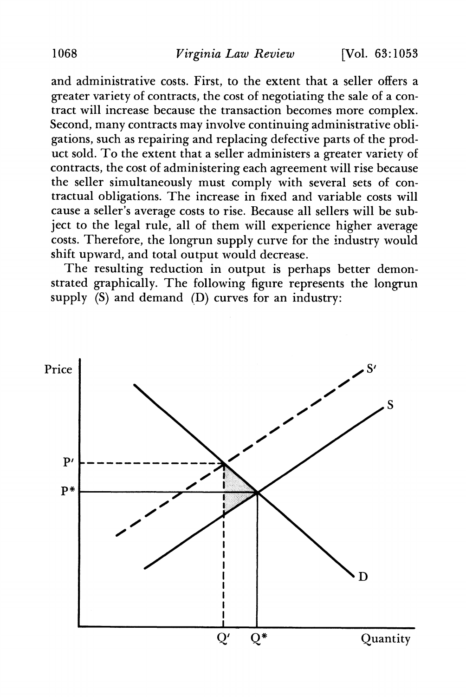**and administrative costs. First, to the extent that a seller offers a greater variety of contracts, the cost of negotiating the sale of a contract will increase because the transaction becomes more complex. Second, many contracts may involve continuing administrative obligations, such as repairing and replacing defective parts of the product sold. To the extent that a seller administers a greater variety of contracts, the cost of administering each agreement will rise because the seller simultaneously must comply with several sets of contractual obligations. The increase in fixed and variable costs will cause a seller's average costs to rise. Because all sellers will be subject to the legal rule, all of them will experience higher average costs. Therefore, the longrun supply curve for the industry would shift upward, and total output would decrease.** 

**The resulting reduction in output is perhaps better demonstrated graphically. The following figure represents the longrun supply (S) and demand (D) curves for an industry:** 

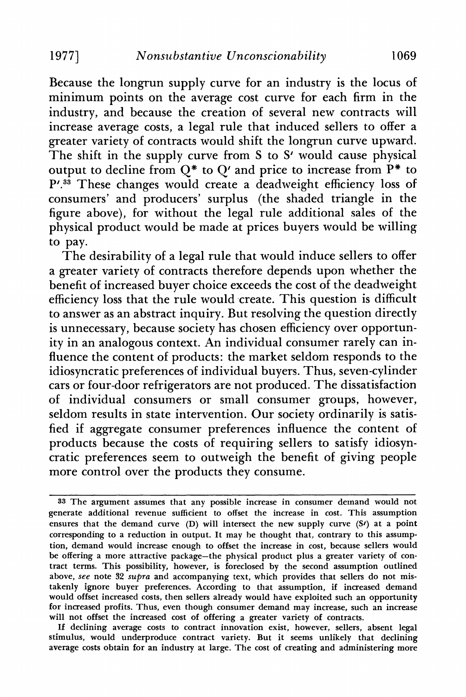**Because the longrun supply curve for an industry is the locus of minimum points on the average cost curve for each firm in the industry, and because the creation of several new contracts will increase average costs, a legal rule that induced sellers to offer a greater variety of contracts would shift the longrun curve upward. The shift in the supply curve from S to S' would cause physical output to decline from Q\* to Q' and price to increase from P\* to P'.33 These changes would create a deadweight efficiency loss of consumers' and producers' surplus (the shaded triangle in the figure above), for without the legal rule additional sales of the physical product would be made at prices buyers would be willing to pay.** 

**The desirability of a legal rule that would induce sellers to offer a greater variety of contracts therefore depends upon whether the benefit of increased buyer choice exceeds the cost of the deadweight efficiency loss that the rule would create. This question is difficult to answer as an abstract inquiry. But resolving the question directly is unnecessary, because society has chosen efficiency over opportunity in an analogous context. An individual consumer rarely can influence the content of products: the market seldom responds to the idiosyncratic preferences of individual buyers. Thus, seven-cylinder cars or four-door refrigerators are not produced. The dissatisfaction of individual consumers or small consumer groups, however, seldom results in state intervention. Our society ordinarily is satisfied if aggregate consumer preferences influence the content of products because the costs of requiring sellers to satisfy idiosyncratic preferences seem to outweigh the benefit of giving people more control over the products they consume.** 

**<sup>33</sup> The argument assumes that any possible increase in consumer demand would not generate additional revenue sufficient to offset the increase in cost. This assumption**  ensures that the demand curve (D) will intersect the new supply curve (S<sup>t</sup>) at a point **corresponding to a reduction in output. It may be thought that, contrary to this assumption, demand would increase enough to offset the increase in cost, because sellers would be offering a more attractive package-the physical product plus a greater variety of contract terms. This possibility, however, is foreclosed by the second assumption outlined**  above, see note 32 supra and accompanying text, which provides that sellers do not mis**takenly ignore buyer preferences. According to that assumption, if increased demand would offset increased costs, then sellers already would have exploited such an opportunity for increased profits. Thus, even though consumer demand may increase, such an increase will not offset the increased cost of offering a greater variety of contracts.** 

**If declining average costs to contract innovation exist, however, sellers, absent legal stimulus, would underproduce contract variety. But it seems unlikely that declining average costs obtain for an industry at large. The cost of creating and administering more**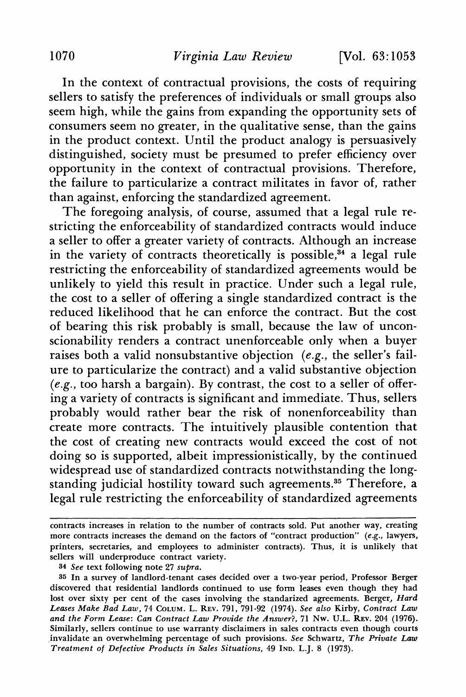**In the context of contractual provisions, the costs of requiring sellers to satisfy the preferences of individuals or small groups also seem high, while the gains from expanding the opportunity sets of consumers seem no greater, in the qualitative sense, than the gains in the product context. Until the product analogy is persuasively distinguished, society must be presumed to prefer efficiency over opportunity in the context of contractual provisions. Therefore, the failure to particularize a contract militates in favor of, rather than against, enforcing the standardized agreement.** 

**The foregoing analysis, of course, assumed that a legal rule restricting the enforceability of standardized contracts would induce a seller to offer a greater variety of contracts. Although an increase**  in the variety of contracts theoretically is possible,<sup>34</sup> a legal rule **restricting the enforceability of standardized agreements would be unlikely to yield this result in practice. Under such a legal rule, the cost to a seller of offering a single standardized contract is the reduced likelihood that he can enforce the contract. But the cost of bearing this risk probably is small, because the law of unconscionability renders a contract unenforceable only when a buyer raises both a valid nonsubstantive objection (e.g., the seller's failure to particularize the contract) and a valid substantive objection (e.g., too harsh a bargain). By contrast, the cost to a seller of offering a variety of contracts is significant and immediate. Thus, sellers probably would rather bear the risk of nonenforceability than create more contracts. The intuitively plausible contention that the cost of creating new contracts would exceed the cost of not doing so is supported, albeit impressionistically, by the continued widespread use of standardized contracts notwithstanding the longstanding judicial hostility toward such agreements.35 Therefore, a legal rule restricting the enforceability of standardized agreements** 

**contracts increases in relation to the number of contracts sold. Put another way, creating more contracts increases the demand on the factors of "contract production" (e.g., lawyers, printers, secretaries, and employees to administer contracts). Thus, it is unlikely that sellers will underproduce contract variety.** 

**<sup>34</sup>See text following note 27 supra.** 

**<sup>35</sup> In a survey of landlord-tenant cases decided over a two-year period, Professor Berger discovered that residential landlords continued to use form leases even though they had lost over sixty per cent of the cases involving the standarized agreements. Berger, Hard Leases Make Bad Law, 74 COLUM. L. REV. 791, 791-92 (1974). See also Kirby, Contract Law and the Form Lease: Can Contract Law Provide the Answer?, 71 Nw. U.L. REV. 204 (1976). Similarly, sellers continue to use warranty disclaimers in sales contracts even though courts invalidate an overwhelming percentage of such provisions. See Schwartz, The Private Law Treatment of Defective Products in Sales Situations, 49 IND. L.J. 8 (1973).**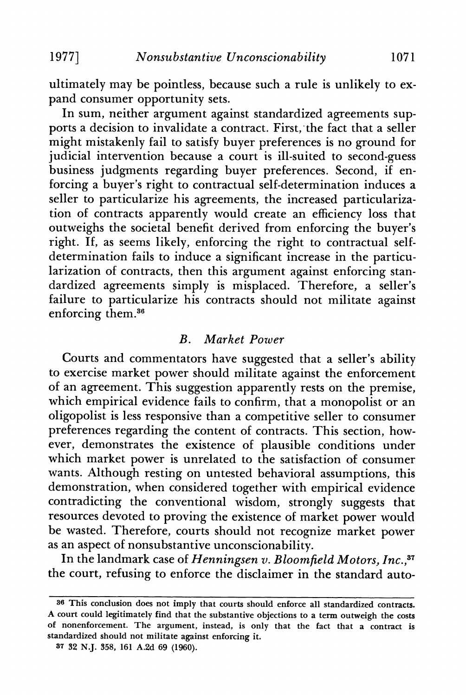**ultimately may be pointless, because such a rule is unlikely to expand consumer opportunity sets.** 

**In sum, neither argument against standardized agreements sup**ports a decision to invalidate a contract. First, the fact that a seller **might mistakenly fail to satisfy buyer preferences is no ground for judicial intervention because a court is ill-suited to second-guess business judgments regarding buyer preferences. Second, if enforcing a buyer's right to contractual self-determination induces a seller to particularize his agreements, the increased particularization of contracts apparently would create an efficiency loss that outweighs the societal benefit derived from enforcing the buyer's right. If, as seems likely, enforcing the right to contractual selfdetermination fails to induce a significant increase in the particularization of contracts, then this argument against enforcing standardized agreements simply is misplaced. Therefore, a seller's failure to particularize his contracts should not militate against enforcing them.36** 

## **B. Market Power**

**Courts and commentators have suggested that a seller's ability to exercise market power should militate against the enforcement of an agreement. This suggestion apparently rests on the premise, which empirical evidence fails to confirm, that a monopolist or an oligopolist is less responsive than a competitive seller to consumer preferences regarding the content of contracts. This section, however, demonstrates the existence of plausible conditions under which market power is unrelated to the satisfaction of consumer wants. Although resting on untested behavioral assumptions, this demonstration, when considered together with empirical evidence contradicting the conventional wisdom, strongly suggests that resources devoted to proving the existence of market power would be wasted. Therefore, courts should not recognize market power as an aspect of nonsubstantive unconscionability.** 

**In the landmark case of Henningsen v. Bloomfield Motors, Inc.,37 the court, refusing to enforce the disclaimer in the standard auto-**

**<sup>36</sup> This conclusion does not imply that courts should enforce all standardized contracts. A court could legitimately find that the substantive objections to a term outweigh the costs of nonenforcement. The argument, instead, is only that the fact that a contract is standardized should not militate against enforcing it.** 

**<sup>37 32</sup> N.J. 358, 161 A.2d 69 (1960).**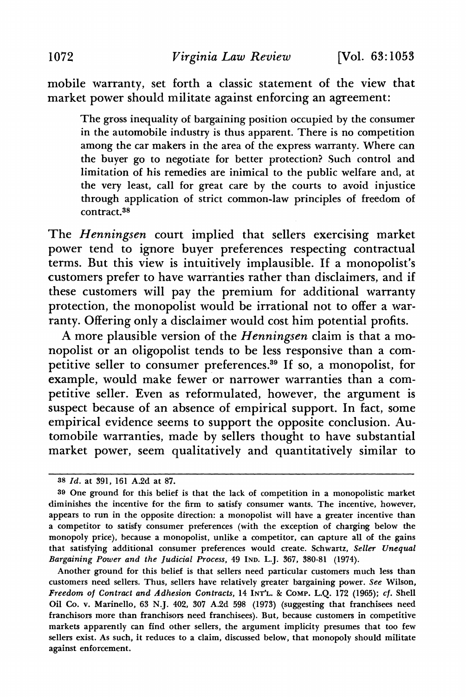**mobile warranty, set forth a classic statement of the view that market power should militate against enforcing an agreement:** 

**The gross inequality of bargaining position occupied by the consumer in the automobile industry is thus apparent. There is no competition among the car makers in the area of the express warranty. Where can the buyer go to negotiate for better protection? Such control and limitation of his remedies are inimical to the public welfare and, at the very least, call for great care by the courts to avoid injustice through application of strict common-law principles of freedom of contract.38** 

**The Henningsen court implied that sellers exercising market power tend to ignore buyer preferences respecting contractual terms. But this view is intuitively implausible. If a monopolist's customers prefer to have warranties rather than disclaimers, and if these customers will pay the premium for additional warranty protection, the monopolist would be irrational not to offer a warranty. Offering only a disclaimer would cost him potential profits.** 

**A more plausible version of the Henningsen claim is that a monopolist or an oligopolist tends to be less responsive than a competitive seller to consumer preferences.39 If so, a monopolist, for example, would make fewer or narrower warranties than a competitive seller. Even as reformulated, however, the argument is suspect because of an absence of empirical support. In fact, some empirical evidence seems to support the opposite conclusion. Automobile warranties, made by sellers thought to have substantial market power, seem qualitatively and quantitatively similar to** 

**Another ground for this belief is that sellers need particular customers much less than customers need sellers. Thus, sellers have relatively greater bargaining power. See Wilson, Freedom of Contract and Adhesion Contracts, 14 INT'L. & COMP. L.Q. 172 (1965); cf. Shell Oil Co. v. Marinello, 63 N.J. 402, 307 A.2d 598 (1973) (suggesting that franchisees need franchisors more than franchisors need franchisees). But, because customers in competitive markets apparently can find other sellers, the argument implicity presumes that too few sellers exist. As such, it reduces to a claim, discussed below, that monopoly should militate against enforcement.** 

**<sup>38</sup> Id. at 391, 161 A.2d at 87.** 

**<sup>39</sup> One ground for this belief is that the lack of competition in a monopolistic market diminishes the incentive for the firm to satisfy consumer wants. The incentive, however, appears to run in the opposite direction: a monopolist will have a greater incentive than a competitor to satisfy consumer preferences (with the exception of charging below the monopoly price), because a monopolist, unlike a competitor, can capture all of the gains that satisfying additional consumer preferences would create. Schwartz, Seller Unequal Bargaining Power and the Judicial Process, 49 IND. L.J. 367, 380-81 (1974).**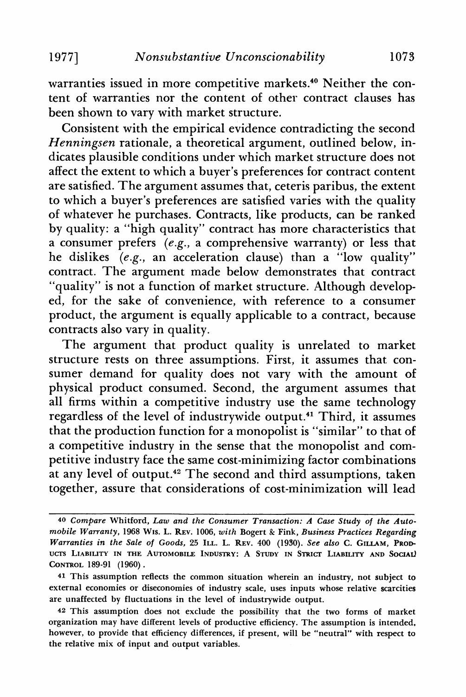**warranties issued in more competitive markets.40 Neither the content of warranties nor the content of other contract clauses has been shown to vary with market structure.** 

**Consistent with the empirical evidence contradicting the second Henningsen rationale, a theoretical argument, outlined below, indicates plausible conditions under which market structure does not affect the extent to which a buyer's preferences for contract content are satisfied. The argument assumes that, ceteris paribus, the extent to which a buyer's preferences are satisfied varies with the quality of whatever he purchases. Contracts, like products, can be ranked by quality: a "high quality" contract has more characteristics that a consumer prefers (e.g., a comprehensive warranty) or less that he dislikes (e.g., an acceleration clause) than a "low quality" contract. The argument made below demonstrates that contract "quality" is not a function of market structure. Although developed, for the sake of convenience, with reference to a consumer product, the argument is equally applicable to a contract, because contracts also vary in quality.** 

**The argument that product quality is unrelated to market structure rests on three assumptions. First, it assumes that con**sumer demand for quality does not vary with the amount of **physical product consumed. Second, the argument assumes that all firms within a competitive industry use the same technology regardless of the level of industrywide output.41 Third, it assumes that the production function for a monopolist is "similar" to that of a competitive industry in the sense that the monopolist and competitive industry face the same cost-minimizing factor combinations at any level of output.42 The second and third assumptions, taken together, assure that considerations of cost-minimization will lead** 

**<sup>40</sup> Compare Whitford, Law and the Consumer Transaction: A Case Study of the Automobile Warranty, 1968 Wis. L. REV. 1006, with Bogert & Fink, Business Practices Regarding**  Warranties in the Sale of Goods, 25 ILL. L. REV. 400 (1930). See also C. GILLAM, PROD-UCTS LIABILITY IN THE AUTOMOBILE INDUSTRY: A STUDY IN STRICT LIABILITY AND SOCIAL **CONTROL 189-91 (1960).** 

**<sup>41</sup>This assumption reflects the common situation wherein an industry, not subject to external economies or diseconomies of industry scale, uses inputs whose relative scarcities are unaffected by fluctuations in the level of industrywide output.** 

**<sup>42</sup> This assumption does not exclude the possibility that the two forms of market organization may have different levels of productive efficiency. The assumption is intended, however, to provide that efficiency differences, if present, will be "neutral" with respect to the relative mix of input and output variables.**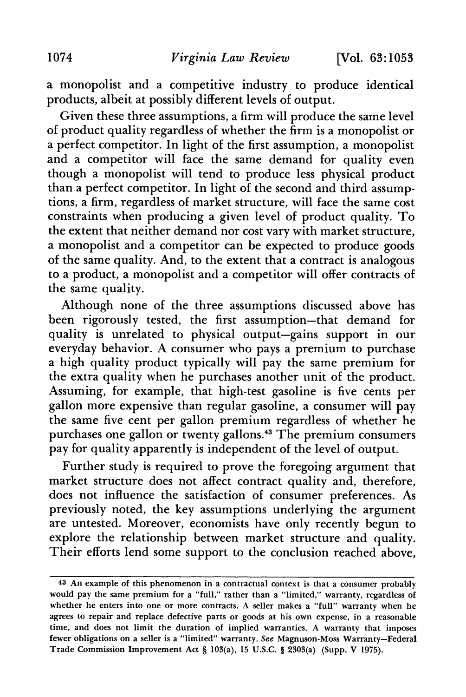**a monopolist and a competitive industry to produce identical products, albeit at possibly different levels of output.** 

**Given these three assumptions, a firm will produce the same level of product quality regardless of whether the firm is a monopolist or a perfect competitor. In light of the first assumption, a monopolist and a competitor will face the same demand for quality even though a monopolist will tend to produce less physical product than a perfect competitor. In light of the second and third assumptions, a firm, regardless of market structure, will face the same cost constraints when producing a given level of product quality. To the extent that neither demand nor cost vary with market structure, a monopolist and a competitor can be expected to produce goods of the same quality. And, to the extent that a contract is analogous to a product, a monopolist and a competitor will offer contracts of the same quality.** 

**Although none of the three assumptions discussed above has been rigorously tested, the first assumption-that demand for quality is unrelated to physical output-gains support in our everyday behavior. A consumer who pays a premium to purchase a high quality product typically will pay the same premium for the extra quality when he purchases another unit of the product. Assuming, for example, that high-test gasoline is five cents per gallon more expensive than regular gasoline, a consumer will pay the same five cent per gallon premium regardless of whether he purchases one gallon or twenty gallons.43 The premium consumers pay for quality apparently is independent of the level of output.** 

**Further study is required to prove the foregoing argument that market structure does not affect contract quality and, therefore, does not influence the satisfaction of consumer preferences. As previously noted, the key assumptions underlying the argument are untested. Moreover, economists have only recently begun to explore the relationship between market structure and quality. Their efforts lend some support to the conclusion reached above,** 

**<sup>43</sup>An example of this phenomenon in a contractual context is that a consumer probably would pay the same premium for a "full," rather than a "limited," warranty, regardless of whether he enters into one or more contracts. A seller makes a "full" warranty when he agrees to repair and replace defective parts or goods at his own expense, in a reasonable time, and does not limit the duration of implied warranties. A warranty that imposes fewer obligations on a seller is a "limited" warranty. See Magnuson-Moss Warranty-Federal Trade Commission Improvement Act § 103(a), 15 U.S.C. § 2303(a) (Supp. V 1975).**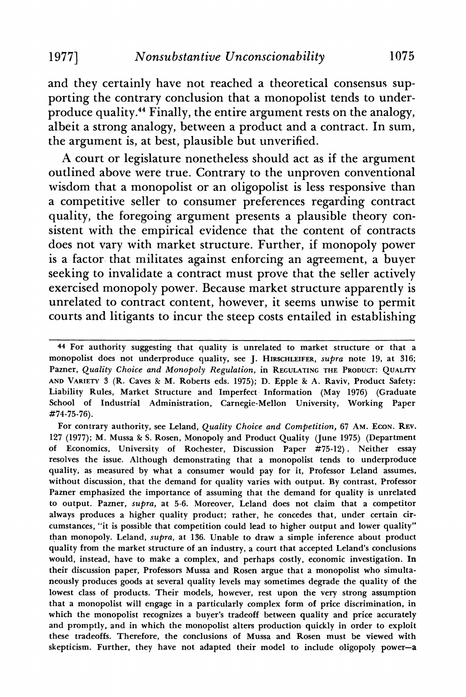**and they certainly have not reached a theoretical consensus supporting the contrary conclusion that a monopolist tends to underproduce quality.44 Finally, the entire argument rests on the analogy, albeit a strong analogy, between a product and a contract. In sum, the argument is, at best, plausible but unverified.** 

**A court or legislature nonetheless should act as if the argument outlined above were true. Contrary to the unproven conventional wisdom that a monopolist or an oligopolist is less responsive than a competitive seller to consumer preferences regarding contract quality, the foregoing argument presents a plausible theory consistent with the empirical evidence that the content of contracts does not vary with market structure. Further, if monopoly power is a factor that militates against enforcing an agreement, a buyer seeking to invalidate a contract must prove that the seller actively exercised monopoly power. Because market structure apparently is unrelated to contract content, however, it seems unwise to permit courts and litigants to incur the steep costs entailed in establishing** 

For contrary authority, see Leland, Quality Choice and Competition, 67 AM. ECON. REV. **127 (1977); M. Mussa 8 S. Rosen, Monopoly and Product Quality (June 1975) (Department of Economics, University of Rochester, Discussion Paper #75-12). Neither essay resolves the issue. Although demonstrating that a monopolist tends to underproduce quality, as measured by what a consumer would pay for it, Professor Leland assumes, without discussion, that the demand for quality varies with output. By contrast, Professor Pazner emphasized the importance of assuming that the demand for quality is unrelated to output. Pazner, supra, at 5-6. Moreover, Leland does not claim that a competitor always produces a higher quality product; rather, he concedes that, under certain circumstances, "it is possible that competition could lead to higher output and lower quality" than monopoly. Leland, supra, at 136. Unable to draw a simple inference about product quality from the market structure of an industry, a court that accepted Leland's conclusions would, instead, have to make a complex, and perhaps costly, economic investigation. In their discussion paper, Professors Mussa and Rosen argue that a monopolist who simultaneously produces goods at several quality levels may sometimes degrade the quality of the lowest class of products. Their models, however, rest upon the very strong assumption that a monopolist will engage in a particularly complex form of price discrimination, in which the monopolist recognizes a buyer's tradeoff between quality and price accurately and promptly, and in which the monopolist alters production quickly in order to exploit these tradeoffs. Therefore, the conclusions of Mussa and Rosen must be viewed with skepticism. Further, they have not adapted their model to include oligopoly power-a** 

**<sup>44</sup>For authority suggesting that quality is unrelated to market structure or that a**  monopolist does not underproduce quality, see J. HIRSCHLEIFER, *supra* note 19, at 316; **Pazner, Quality Choice and Monopoly Regulation, in REGULATING THE PRODUCT: QUALITY AND VARIETY 3 (R. Caves & M. Roberts eds. 1975); D. Epple & A. Raviv, Product Safety: Liability Rules, Market Structure and Imperfect Information (May 1976) (Graduate School of Industrial Administration, Carnegie-Mellon University, Working Paper #74-75-76).**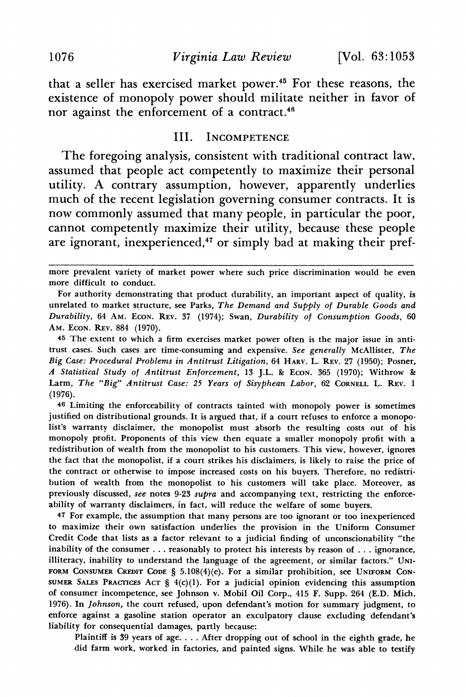**that a seller has exercised market power.45 For these reasons, the existence of monopoly power should militate neither in favor of nor against the enforcement of a contract.46** 

## **III. INCOMPETENCE**

**The foregoing analysis, consistent with traditional contract law, assumed that people act competently to maximize their personal utility. A contrary assumption, however, apparently underlies much of the recent legislation governing consumer contracts. It is now commonly assumed that many people, in particular the poor, cannot competently maximize their utility, because these people**  are ignorant, inexperienced,<sup>47</sup> or simply bad at making their pref-

**45 The extent to which a firm exercises market power often is the major issue in antitrust cases. Such cases are time-consuming and expensive. See generally McAllister, The Big Case: Procedural Problems in Antitrust Litigation, 64 HARV. L. REV. 27 (1950); Posner, A Statistical Study of Antitrust Enforcement, 13 J.L. & ECON. 365 (1970); Withrow & Larm, The "Big" Antitrust Case: 25 Years of Sisyphean Labor, 62 CORNELL L. REV. 1 (1976).** 

**<sup>46</sup>Limiting the enforceability of contracts tainted with monopoly power is sometimes justified on distributional grounds. It is argued that, if a court refuses to enforce a monopolist's warranty disclaimer, the monopolist must absorb the resulting costs out of his monopoly profit. Proponents of this view then equate a smaller monopoly profit with a redistribution of wealth from the monopolist to his customers. This view, however, ignores the fact that the monopolist, if a court strikes his disclaimers, is likely to raise the price of the contract or otherwise to impose increased costs on his buyers. Therefore, no redistribution of wealth from the monopolist to his customers will take place. Moreover, as previously discussed, see notes 9-23 supra and accompanying text, restricting the enforceability of warranty disclaimers, in fact, will reduce the welfare of some buyers.** 

**47 For example, the assumption that many persons are too ignorant or too inexperienced to maximize their own satisfaction underlies the provision in the Uniform Consumer Credit Code that lists as a factor relevant to a judicial finding of unconscionability "the inability of the consumer . . . reasonably to protect his interests by reason of . . . ignorance,**  illiteracy, inability to understand the language of the agreement, or similar factors." UNI-FORM CONSUMER CREDIT CODE § 5.108(4)(e). For a similar prohibition, see UNIFORM CON-SUMER SALES PRACTICES ACT §  $4(c)(1)$ . For a judicial opinion evidencing this assumption **of consumer incompetence, see Johnson v. Mobil Oil Corp., 415 F. Supp. 264 (E.D. Mich. 1976). In Johnson, the court refused, upon defendant's motion for summary judgment, to enforce against a gasoline station operator an exculpatory clause excluding defendant's liability for consequential damages, partly because:** 

Plaintiff is 39 years of age. . . . After dropping out of school in the eighth grade, he **did farm work, worked in factories, and painted signs. While he was able to testify** 

**more prevalent variety of market power where such price discrimination would be even more difficult to conduct.** 

**For authority demonstrating that product durability, an important aspect of quality, is unrelated to market structure, see Parks, The Demand and Supply of Durable Goods and Durability, 64 AM. ECON. REV. 37 (1974); Swan, Durability of Consumption Goods, 60 AM. ECON. REV. 884 (1970).**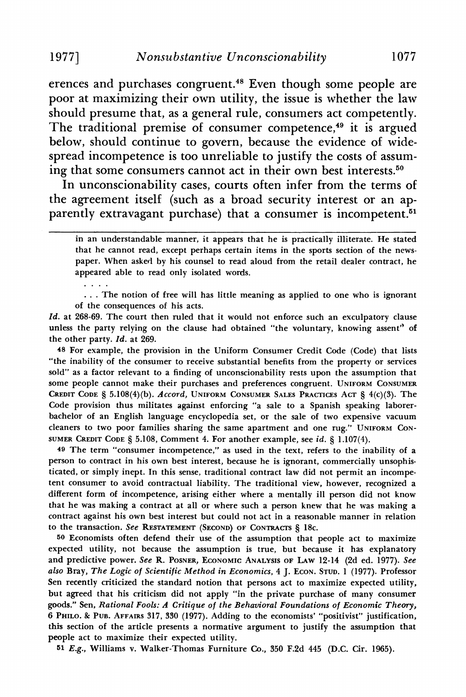**erences and purchases congruent.48 Even though some people are poor at maximizing their own utility, the issue is whether the law should presume that, as a general rule, consumers act competently. The traditional premise of consumer competence,49 it is argued below, should continue to govern, because the evidence of widespread incompetence is too unreliable to justify the costs of assuming that some consumers cannot act in their own best interests.50** 

**In unconscionability cases, courts often infer from the terms of the agreement itself (such as a broad security interest or an ap**parently extravagant purchase) that a consumer is incompetent.<sup>51</sup>

**in an understandable manner, it appears that he is practically illiterate. He stated that he cannot read, except perhaps certain items in the sports section of the newspaper. When asked by his counsel to read aloud from the retail dealer contract, he appeared able to read only isolated words.** 

**. . . The notion of free will has little meaning as applied to one who is ignorant of the consequences of his acts.** 

**Id. at 268-69. The court then ruled that it would not enforce such an exculpatory clause unless the party relying on the clause had obtained "the voluntary, knowing assent'" of the other party. Id. at 269.** 

**48 For example, the provision in the Uniform Consumer Credit Code (Code) that lists "the inability of the consumer to receive substantial benefits from the property or services sold" as a factor relevant to a finding of unconscionability rests upon the assumption that some people cannot make their purchases and preferences congruent. UNIFORM CONSUMER CREDIT CODE ? 5.108(4)(b). Accord, UNIFORM CONSUMER SALES PRACTICES ACT ? 4(c)(3). The Code provision thus militates against enforcing "a sale to a Spanish speaking laborerbachelor of an English language encyclopedia set, or the sale of two expensive vacuum cleaners to two poor families sharing the same apartment and one rug." UNIFORM CON-SUMER CREDIT CODE § 5.108, Comment 4. For another example, see id. § 1.107(4).** 

**<sup>49</sup>The term "consumer incompetence," as used in the text, refers to the inability of a person to contract in his own best interest, because he is ignorant, commercially unsophisticated, or simply inept. In this sense, traditional contract law did not permit an incompetent consumer to avoid contractual liability. The traditional view, however, recognized a different form of incompetence, arising either where a mentally ill person did not know that he was making a contract at all or where such a person knew that he was making a contract against his own best interest but could not act in a reasonable manner in relation**  to the transaction. See RESTATEMENT (SECOND) OF CONTRACTS § 18c.

**50 Economists often defend their use of the assumption that people act to maximize expected utility, not because the assumption is true, but because it has explanatory and predictive power. See R. POSNER, ECONOMIC ANALYSIS OF LAW 12-14 (2d ed. 1977). See also Bray, The Logic of Scientific Method in Economics, 4 J. ECON. STUD. 1 (1977). Professor Sen recently criticized the standard notion that persons act to maximize expected utility, but agreed that his criticism did not apply "in the private purchase of many consumer goods." Sen, Rational Fools: A Critique of the Behavioral Foundations of Economic Theory, 6 PHILO. & PUB. AFFAIRS 317, 330 (1977). Adding to the economists' "positivist" justification, this section of the article presents a normative argument to justify the assumption that people act to maximize their expected utility.** 

**51 E.g., Williams v. Walker-Thomas Furniture Co., 350 F.2d 445 (D.C. Cir. 1965).**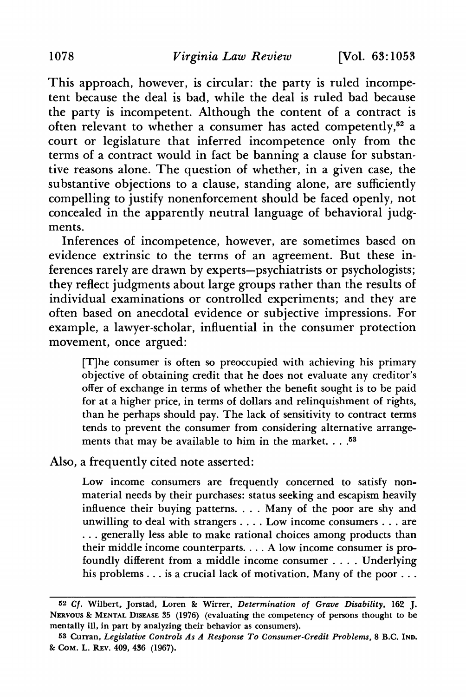**This approach, however, is circular: the party is ruled incompetent because the deal is bad, while the deal is ruled bad because the party is incompetent. Although the content of a contract is often relevant to whether a consumer has acted competently,52 a court or legislature that inferred incompetence only from the terms of a contract would in fact be banning a clause for substantive reasons alone. The question of whether, in a given case, the substantive objections to a clause, standing alone, are sufficiently compelling to justify nonenforcement should be faced openly, not concealed in the apparently neutral language of behavioral judgments.** 

**Inferences of incompetence, however, are sometimes based on evidence extrinsic to the terms of an agreement. But these inferences rarely are drawn by experts-psychiatrists or psychologists; they reflect judgments about large groups rather than the results of individual examinations or controlled experiments; and they are often based on anecdotal evidence or subjective impressions. For example, a lawyer-scholar, influential in the consumer protection movement, once argued:** 

**[T]he consumer is often so preoccupied with achieving his primary objective of obtaining credit that he does not evaluate any creditor's offer of exchange in terms of whether the benefit sought is to be paid for at a higher price, in terms of dollars and relinquishment of rights, than he perhaps should pay. The lack of sensitivity to contract terms tends to prevent the consumer from considering alternative arrangements that may be available to him in the market....63** 

**Also, a frequently cited note asserted:** 

**Low income consumers are frequently concerned to satisfy nonmaterial needs by their purchases: status seeking and escapism heavily influence their buying patterns.... Many of the poor are shy and unwilling to deal with strangers .... Low income consumers ... are ... generally less able to make rational choices among products than their middle income counterparts. ... A low income consumer is profoundly different from a middle income consumer .... Underlying his problems ... is a crucial lack of motivation. Many of the poor ...** 

**<sup>52</sup>Cf. Wilbert, Jorstad, Loren & Wirrer, Determination of Grave Disability, 162 J. NERvoUS & MENTAL DISEASE 35 (1976) (evaluating the competency of persons thought to be mentally ill, in part by analyzing their behavior as consumers).** 

**<sup>53</sup>Curran, Legislative Controls As A Response To Consumer-Credit Problems, 8 B.C. IND. & COM. L. REV. 409, 436 (1967).**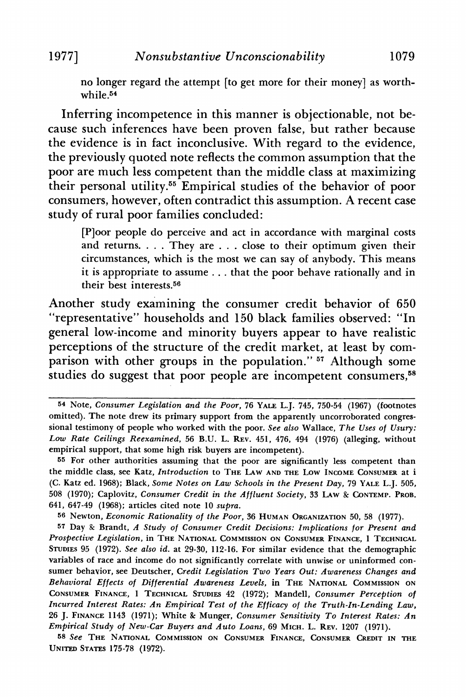**no longer regard the attempt [to get more for their money] as worthwhile.54** 

**Inferring incompetence in this manner is objectionable, not because such inferences have been proven false, but rather because the evidence is in fact inconclusive. With regard to the evidence, the previously quoted note reflects the common assumption that the poor are much less competent than the middle class at maximizing their personal utility.55 Empirical studies of the behavior of poor consumers, however, often contradict this assumption. A recent case study of rural poor families concluded:** 

**[P]oor people do perceive and act in accordance with marginal costs and returns.... They are . . . close to their optimum given their circumstances, which is the most we can say of anybody. This means it is appropriate to assume ... that the poor behave rationally and in their best interests.56** 

**Another study examining the consumer credit behavior of 650 "representative" households and 150 black families observed: "In general low-income and minority buyers appear to have realistic perceptions of the structure of the credit market, at least by comparison with other groups in the population." <sup>57</sup>Although some**  studies do suggest that poor people are incompetent consumers,<sup>58</sup>

**55 For other authorities assuming that the poor are significantly less competent than the middle class, see Katz, Introduction to THE LAW AND THE LOW INCOME CONSUMER ati (C. Katz ed. 1968); Black, Some Notes on Law Schools in the Present Day, 79 YALE L.J. 505, 508 (1970); Caplovitz, Consumer Credit in the Affluent Society, 33 LAW & CONTEMP. PROB. 641, 647-49 (1968); articles cited note 10 supra.** 

**56 Newton, Economic Rationality of the Poor, 36 HUMAN ORGANIZATION 50, 58 (1977).** 

**57 Day & Brandt, A Study of Consumer Credit Decisions: Implications for Present and Prospective Legislation, in THE NATIONAL COMMISSION ON CONSUMER FINANCE, 1 TECHNICAL STUDIES 95 (1972). See also id. at 29-30, 112-16. For similar evidence that the demographic variables of race and income do not significantly correlate with unwise or uninformed consumer behavior, see Deutscher, Credit Legislation Two Years Out: Awareness Changes and Behavioral Effects of Differential Awareness Levels, in THE NATIONAL COMMISSION ON CONSUMER FINANCE, 1 TECHNICAL STUDIES 42 (1972); Mandell, Consumer Perception of Incurred Interest Rates: An Empirical Test of the Efficacy of the Truth-In-Lending Law, 26 J. FINANCE 1143 (1971); White & Munger, Consumer Sensitivity To Interest Rates: An Empirical Study of New-Car Buyers and Auto Loans, 69 MICH. L. REV. 1207 (1971).** 

**58 See THE NATIONAL COMMISSION ON CONSUMER FINANCE, CONSUMER CREDIT IN THE UNITED STATES 175-78 (1972).** 

**<sup>54</sup>Note, Consumer Legislation and the Poor, 76 YALE L.J. 745, 750-54 (1967) (footnotes omitted). The note drew its primary support from the apparently uncorroborated congressional testimony of people who worked with the poor. See also Wallace, The Uses of Usury: Low Rate Ceilings Reexamined, 56 B.U. L. REV. 451, 476, 494 (1976) (alleging, without empirical support, that some high risk buyers are incompetent).**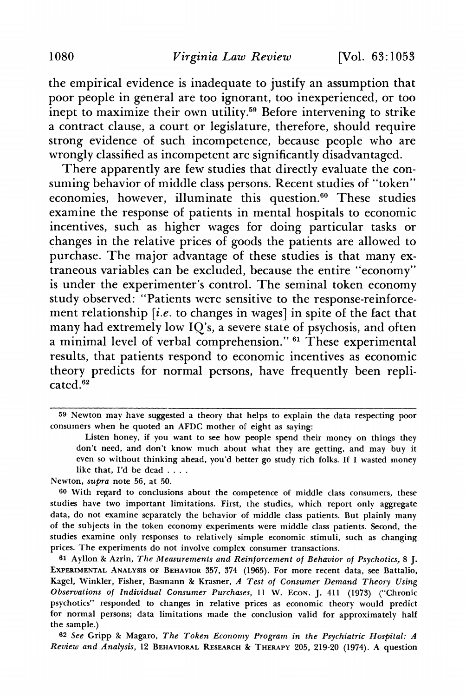**the empirical evidence is inadequate to justify an assumption that poor people in general are too ignorant, too inexperienced, or too inept to maximize their own utility.59 Before intervening to strike a contract clause, a court or legislature, therefore, should require strong evidence of such incompetence, because people who are wrongly classified as incompetent are significantly disadvantaged.** 

**There apparently are few studies that directly evaluate the consuming behavior of middle class persons. Recent studies of "token" economies, however, illuminate this question.60 These studies examine the response of patients in mental hospitals to economic incentives, such as higher wages for doing particular tasks or changes in the relative prices of goods the patients are allowed to purchase. The major advantage of these studies is that many extraneous variables can be excluded, because the entire "economy" is under the experimenter's control. The seminal token economy study observed: "Patients were sensitive to the response-reinforcement relationship [i.e. to changes in wages] in spite of the fact that many had extremely low IQ's, a severe state of psychosis, and often a minimal level of verbal comprehension." 61 These experimental results, that patients respond to economic incentives as economic theory predicts for normal persons, have frequently been replicated.62** 

**Newton, supra note 56, at 50.** 

**60 With regard to conclusions about the competence of middle class consumers, these studies have two important limitations. First, the studies, which report only aggregate data, do not examine separately the behavior of middle class patients. But plainly many of the subjects in the token economy experiments were middle class patients. Second, the studies examine only responses to relatively simple economic stimuli, such as changing prices. The experiments do not involve complex consumer transactions.** 

**61 Ayllon & Azrin, The Measurements and Reinforcement of Behavior of Psychotics, 8 J. EXPERIMENTAL ANALYSIS OF BEHAVIOR 357, 374 (1965). For more recent data, see Battalio, Kagel, Winkler, Fisher, Basmann & Krasner, A Test of Consumer Demand Theory Using Observations of Individual Consumer Purchases, 11 W. ECON. J. 411 (1973) ("Chronic psychotics" responded to changes in relative prices as economic theory would predict for normal persons; data limitations made the conclusion valid for approximately half the sample.)** 

**62 See Gripp & Magaro, The Token Economy Program in the Psychiatric Hospital: A Review and Analysis, 12 BEHAVIORAL RESEARCH & THERAPY 205, 219-20 (1974). A question** 

**<sup>59</sup> Newton may have suggested a theory that helps to explain the data respecting poor consumers when he quoted an AFDC mother of eight as saying:** 

**Listen honey, if you want to see how people spend their money on things they don't need, and don't know much about what they are getting, and may buy it even so without thinking ahead, you'd better go study rich folks. If I wasted money like that, I'd be dead ....**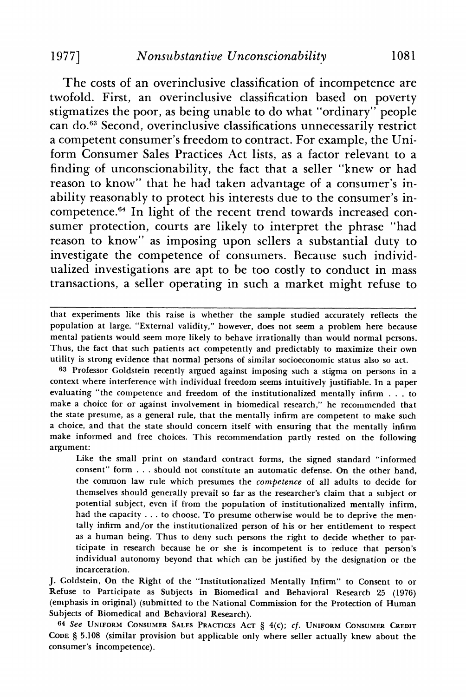**The costs of an overinclusive classification of incompetence are twofold. First, an overinclusive classification based on poverty stigmatizes the poor, as being unable to do what "ordinary" people**  can do.<sup>63</sup> Second, overinclusive classifications unnecessarily restrict **a competent consumer's freedom to contract. For example, the Uniform Consumer Sales Practices Act lists, as a factor relevant to a finding of unconscionability, the fact that a seller "knew or had reason to know" that he had taken advantage of a consumer's inability reasonably to protect his interests due to the consumer's incompetence.64 In light of the recent trend towards increased consumer protection, courts are likely to interpret the phrase "had reason to know" as imposing upon sellers a substantial duty to investigate the competence of consumers. Because such individualized investigations are apt to be too costly to conduct in mass transactions, a seller operating in such a market might refuse to** 

**that experiments like this raise is whether the sample studied accurately reflects the population at large. "External validity," however, does not seem a problem here because mental patients would seem more likely to behave irrationally than would normal persons. Thus, the fact that such patients act competently and predictably to maximize their own utility is strong evidence that normal persons of similar socioeconomic status also so act.** 

**63 Professor Goldstein recently argued against imposing such a stigma on persons in a context where interference with individual freedom seems intuitively justifiable. In a paper evaluating "the competence and freedom of the institutionalized mentally infirm . . . to make a choice for or against involvement in biomedical research," he recommended that the state presume, as a general rule, that the mentally infirm are competent to make such a choice, and that the state should concern itself with ensuring that the mentally infirm make informed and free choices. This recommendation partly rested on the following argument:** 

**Like the small print on standard contract forms, the signed standard "informed consent" form . . . should not constitute an automatic defense. On the other hand, the common law rule which presumes the competence of all adults to decide for themselves should generally prevail so far as the researcher's claim that a subject or potential subject, even if from the population of institutionalized mentally infirm, had the capacity . . . to choose. To presume otherwise would be to deprive the mentally infirm and/or the institutionalized person of his or her entitlement to respect as a human being. Thus to deny such persons the right to decide whether to participate in research because he or she is incompetent is to reduce that person's individual autonomy beyond that which can be justified by the designation or the incarceration.** 

**J. Goldstein, On the Right of the "Institutionalized Mentally Infirm" to Consent to or Refuse to Participate as Subjects in Biomedical and Behavioral Research 25 (1976) (emphasis in original) (submitted to the National Commission for the Protection of Human Subjects of Biomedical and Behavioral Research).** 

64 See UNIFORM CONSUMER SALES PRACTICES ACT § 4(c); cf. UNIFORM CONSUMER CREDIT **CODE ? 5.108 (similar provision but applicable only where seller actually knew about the consumer's incompetence).**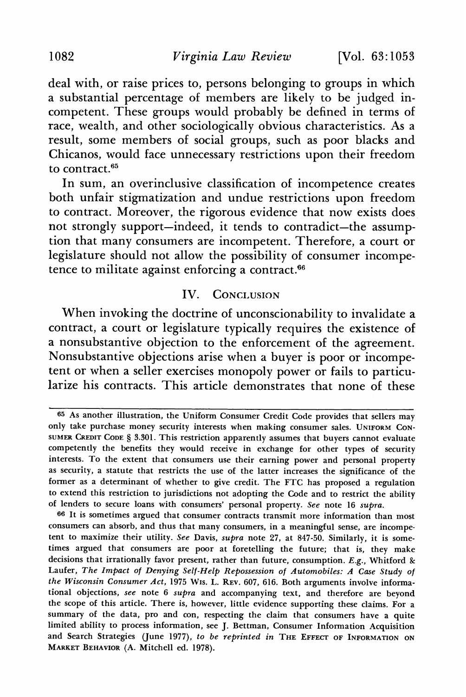**deal with, or raise prices to, persons belonging to groups in which a substantial percentage of members are likely to be judged incompetent. These groups would probably be defined in terms of race, wealth, and other sociologically obvious characteristics. As a result, some members of social groups, such as poor blacks and Chicanos, would face unnecessary restrictions upon their freedom to contract.65** 

**In sum, an overinclusive classification of incompetence creates both unfair stigmatization and undue restrictions upon freedom to contract. Moreover, the rigorous evidence that now exists does**  not strongly support-indeed, it tends to contradict-the assump**tion that many consumers are incompetent. Therefore, a court or legislature should not allow the possibility of consumer incompetence to militate against enforcing a contract.66** 

### IV. CONCLUSION

**When invoking the doctrine of unconscionability to invalidate a contract, a court or legislature typically requires the existence of a nonsubstantive objection to the enforcement of the agreement. Nonsubstantive objections arise when a buyer is poor or incompetent or when a seller exercises monopoly power or fails to particularize his contracts. This article demonstrates that none of these** 

**<sup>65</sup> As another illustration, the Uniform Consumer Credit Code provides that sellers may only take purchase money security interests when making consumer sales. UNIFORM CON-SUMER CREDIT CODE ? 3.301. This restriction apparently assumes that buyers cannot evaluate competently the benefits they would receive in exchange for other types of security interests. To the extent that consumers use their earning power and personal property as security, a statute that restricts the use of the latter increases the significance of the former as a determinant of whether to give credit. The FTC has proposed a regulation to extend this restriction to jurisdictions not adopting the Code and to restrict the ability of lenders to secure loans with consumers' personal property. See note 16 supra.** 

**<sup>66</sup>It is sometimes argued that consumer contracts transmit more information than most consumers can absorb, and thus that many consumers, in a meaningful sense, are incompetent to maximize their utility. See Davis, supra note 27, at 847-50. Similarly, it is sometimes argued that consumers are poor at foretelling the future; that is, they make decisions that irrationally favor present, rather than future, consumption. E.g., Whitford & Laufer, The Impact of Denying Self-Help Repossession of Automobiles: A Case Study of the Wisconsin Consumer Act, 1975 Wis. L. REV. 607, 616. Both arguments involve informational objections, see note 6 supra and accompanying text, and therefore are beyond the scope of this article. There is, however, little evidence supporting these claims. For a summary of the data, pro and con, respecting the claim that consumers have a quite limited ability to process information, see J. Bettman, Consumer Information Acquisition and Search Strategies (June 1977), to be reprinted in THE EFFECT OF INFORMATION ON MARKET BEHAVIOR (A. Mitchell ed. 1978).**